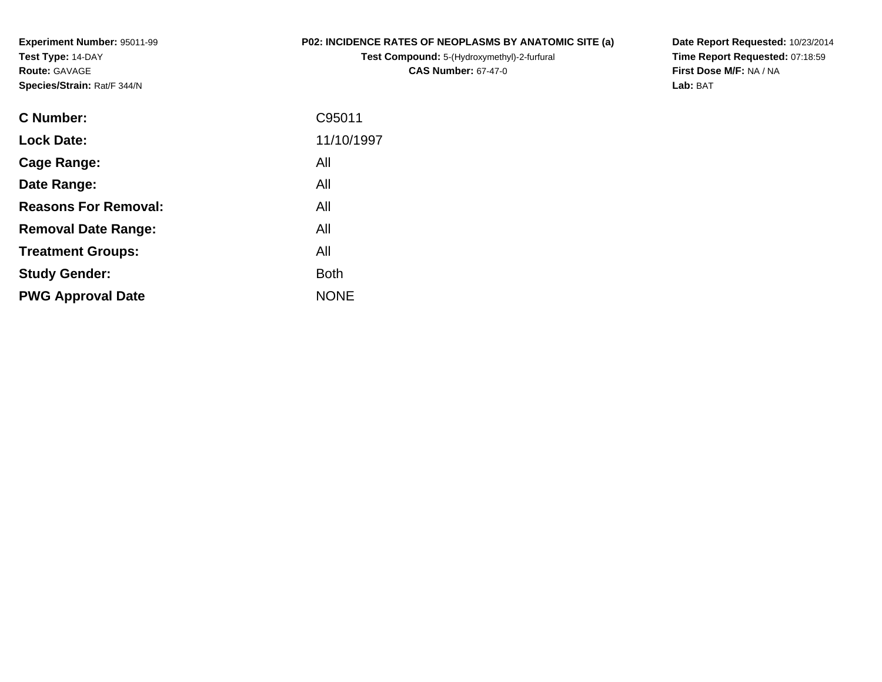**Experiment Number:** 95011-99**Test Type:** 14-DAY**Route:** GAVAGE**Species/Strain:** Rat/F 344/N

### **P02: INCIDENCE RATES OF NEOPLASMS BY ANATOMIC SITE (a)**

**Test Compound:** 5-(Hydroxymethyl)-2-furfural **CAS Number:** 67-47-0

**Date Report Requested:** 10/23/2014 **Time Report Requested:** 07:18:59**First Dose M/F:** NA / NA**Lab:** BAT

| C95011      |
|-------------|
| 11/10/1997  |
| All         |
| All         |
| All         |
| All         |
| All         |
| <b>Both</b> |
| <b>NONE</b> |
|             |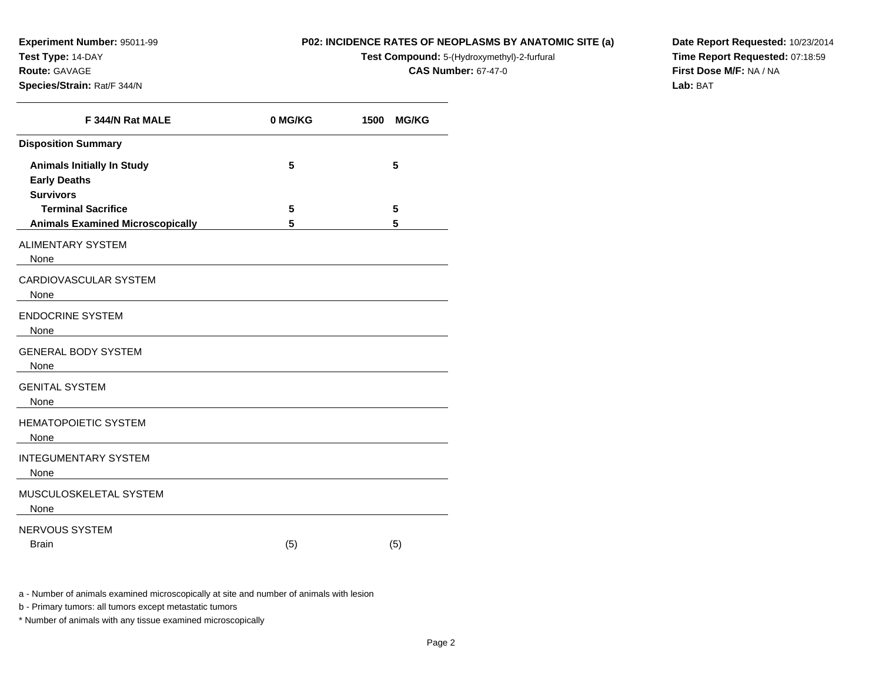**Experiment Number:** 95011-99**Test Type:** 14-DAY**Route:** GAVAGE

#### **Species/Strain:** Rat/F 344/N

#### **P02: INCIDENCE RATES OF NEOPLASMS BY ANATOMIC SITE (a)**

**Test Compound:** 5-(Hydroxymethyl)-2-furfural

**CAS Number:** 67-47-0

**Date Report Requested:** 10/23/2014**Time Report Requested:** 07:18:59**First Dose M/F:** NA / NA**Lab:** BAT

| F 344/N Rat MALE                                                             | 0 MG/KG | 1500<br><b>MG/KG</b> |
|------------------------------------------------------------------------------|---------|----------------------|
| <b>Disposition Summary</b>                                                   |         |                      |
| <b>Animals Initially In Study</b><br><b>Early Deaths</b><br><b>Survivors</b> | 5       | 5                    |
| <b>Terminal Sacrifice</b>                                                    | 5       | 5                    |
| <b>Animals Examined Microscopically</b>                                      | 5       | 5                    |
| <b>ALIMENTARY SYSTEM</b><br>None                                             |         |                      |
| CARDIOVASCULAR SYSTEM<br>None                                                |         |                      |
| <b>ENDOCRINE SYSTEM</b><br>None                                              |         |                      |
| <b>GENERAL BODY SYSTEM</b><br>None                                           |         |                      |
| <b>GENITAL SYSTEM</b><br>None                                                |         |                      |
| <b>HEMATOPOIETIC SYSTEM</b><br>None                                          |         |                      |
| <b>INTEGUMENTARY SYSTEM</b><br>None                                          |         |                      |
| MUSCULOSKELETAL SYSTEM<br>None                                               |         |                      |
| NERVOUS SYSTEM<br><b>Brain</b>                                               | (5)     | (5)                  |

a - Number of animals examined microscopically at site and number of animals with lesion

b - Primary tumors: all tumors except metastatic tumors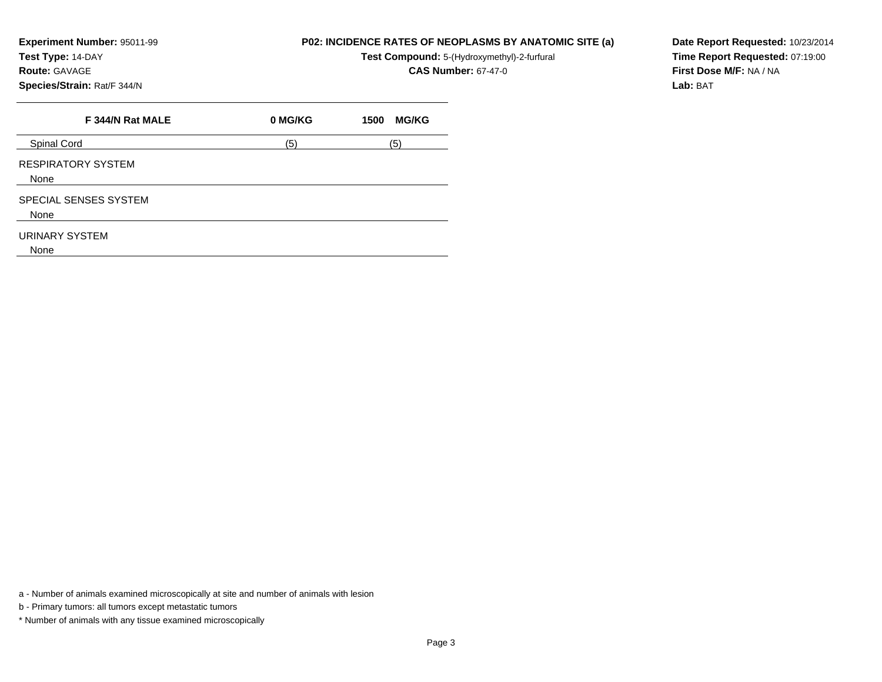**Experiment Number:** 95011-99

**Test Type:** 14-DAY

## **Route:** GAVAGE

**Species/Strain:** Rat/F 344/N

| P02: INCIDENCE RATES OF NEOPLASMS BY ANATOMIC SITE (a) |
|--------------------------------------------------------|
|--------------------------------------------------------|

**Test Compound:** 5-(Hydroxymethyl)-2-furfural

**CAS Number:** 67-47-0

**F 344/N Rat MALE 0 MG/KG 1500 MG/KG** Spinal Cordd  $(5)$  (5) (5) RESPIRATORY SYSTEMNoneSPECIAL SENSES SYSTEMNoneURINARY SYSTEM

None

a - Number of animals examined microscopically at site and number of animals with lesion

b - Primary tumors: all tumors except metastatic tumors

\* Number of animals with any tissue examined microscopically

**Date Report Requested:** 10/23/2014**Time Report Requested:** 07:19:00**First Dose M/F:** NA / NA**Lab:** BAT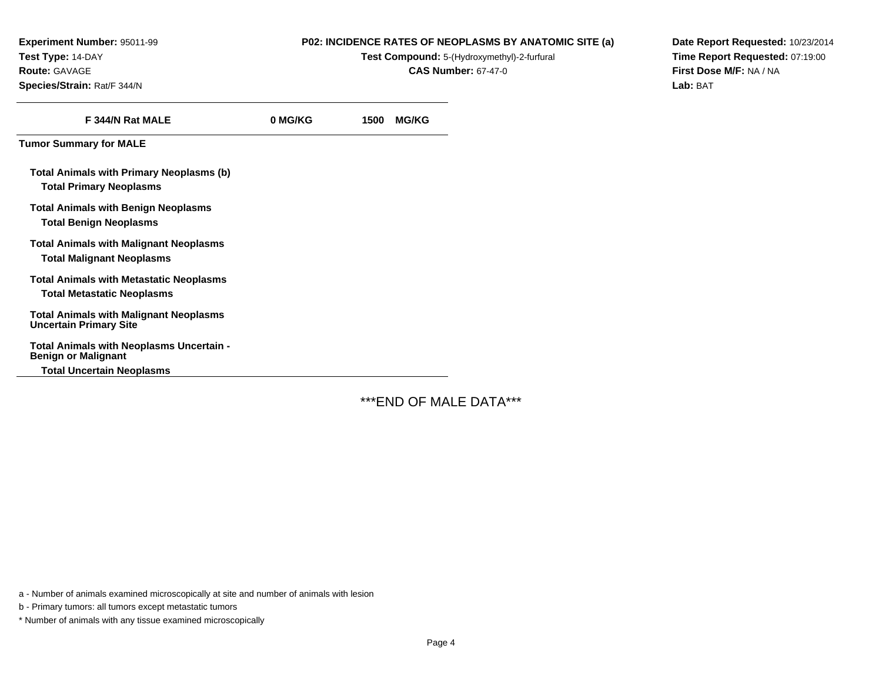**Experiment Number:** 95011-99**Test Type:** 14-DAY**Route:** GAVAGE**Species/Strain:** Rat/F 344/N

#### **P02: INCIDENCE RATES OF NEOPLASMS BY ANATOMIC SITE (a)**

**Test Compound:** 5-(Hydroxymethyl)-2-furfural

**CAS Number:** 67-47-0

**Date Report Requested:** 10/23/2014**Time Report Requested:** 07:19:00**First Dose M/F:** NA / NA**Lab:** BAT

| F 344/N Rat MALE                                                                    | 0 MG/KG | 1500 | <b>MG/KG</b> |
|-------------------------------------------------------------------------------------|---------|------|--------------|
| <b>Tumor Summary for MALE</b>                                                       |         |      |              |
| Total Animals with Primary Neoplasms (b)<br><b>Total Primary Neoplasms</b>          |         |      |              |
| <b>Total Animals with Benign Neoplasms</b><br><b>Total Benign Neoplasms</b>         |         |      |              |
| <b>Total Animals with Malignant Neoplasms</b><br><b>Total Malignant Neoplasms</b>   |         |      |              |
| <b>Total Animals with Metastatic Neoplasms</b><br><b>Total Metastatic Neoplasms</b> |         |      |              |
| <b>Total Animals with Malignant Neoplasms</b><br><b>Uncertain Primary Site</b>      |         |      |              |
| Total Animals with Neoplasms Uncertain -<br><b>Benign or Malignant</b>              |         |      |              |
| <b>Total Uncertain Neoplasms</b>                                                    |         |      |              |

\*\*\*END OF MALE DATA\*\*\*

a - Number of animals examined microscopically at site and number of animals with lesion

b - Primary tumors: all tumors except metastatic tumors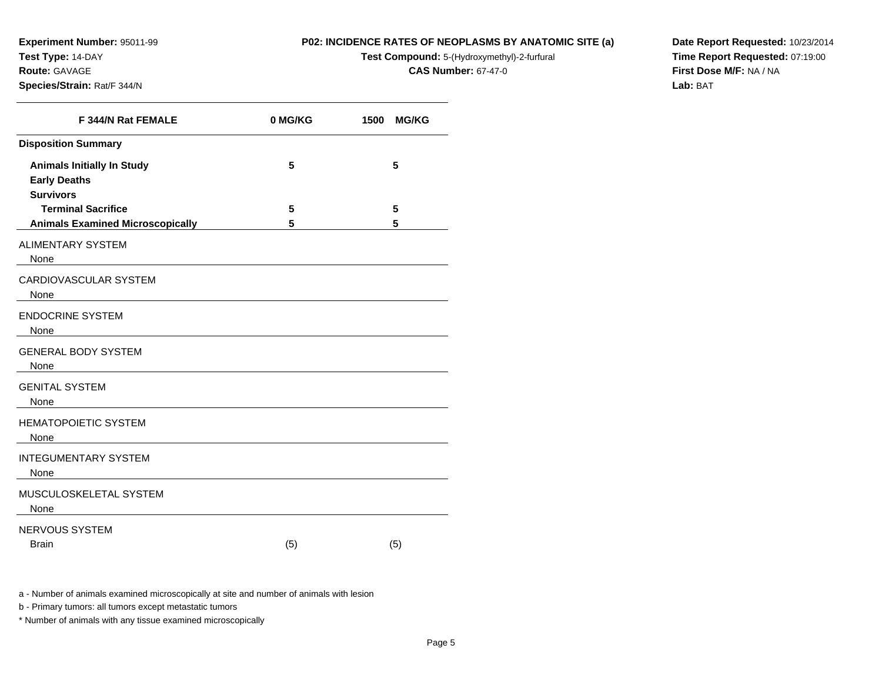**Experiment Number:** 95011-99**Test Type:** 14-DAY**Route:** GAVAGE

**Species/Strain:** Rat/F 344/N

#### **P02: INCIDENCE RATES OF NEOPLASMS BY ANATOMIC SITE (a)**

**Test Compound:** 5-(Hydroxymethyl)-2-furfural

**CAS Number:** 67-47-0

**Date Report Requested:** 10/23/2014**Time Report Requested:** 07:19:00**First Dose M/F:** NA / NA**Lab:** BAT

| F 344/N Rat FEMALE                                                           | 0 MG/KG | 1500<br><b>MG/KG</b> |
|------------------------------------------------------------------------------|---------|----------------------|
| <b>Disposition Summary</b>                                                   |         |                      |
| <b>Animals Initially In Study</b><br><b>Early Deaths</b><br><b>Survivors</b> | 5       | 5                    |
| <b>Terminal Sacrifice</b>                                                    | 5       | 5                    |
| <b>Animals Examined Microscopically</b>                                      | 5       | 5                    |
| <b>ALIMENTARY SYSTEM</b><br>None                                             |         |                      |
| CARDIOVASCULAR SYSTEM<br>None                                                |         |                      |
| <b>ENDOCRINE SYSTEM</b><br>None                                              |         |                      |
| <b>GENERAL BODY SYSTEM</b><br>None                                           |         |                      |
| <b>GENITAL SYSTEM</b><br>None                                                |         |                      |
| <b>HEMATOPOIETIC SYSTEM</b><br>None                                          |         |                      |
| <b>INTEGUMENTARY SYSTEM</b><br>None                                          |         |                      |
| MUSCULOSKELETAL SYSTEM<br>None                                               |         |                      |
| NERVOUS SYSTEM<br><b>Brain</b>                                               | (5)     | (5)                  |

a - Number of animals examined microscopically at site and number of animals with lesion

b - Primary tumors: all tumors except metastatic tumors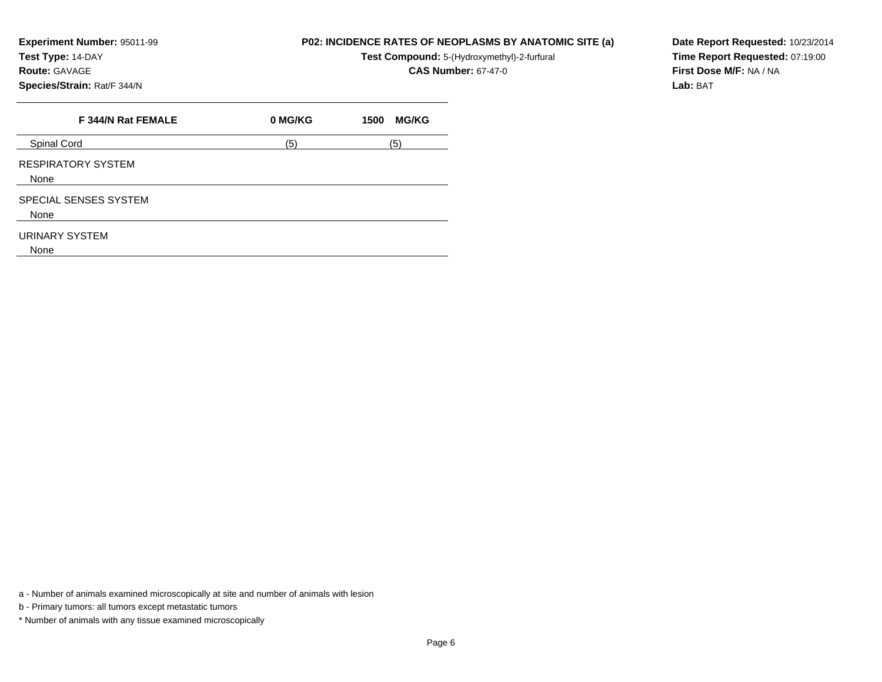**Experiment Number:** 95011-99

**Test Type:** 14-DAY

# **Route:** GAVAGE

**Species/Strain:** Rat/F 344/N

#### **P02: INCIDENCE RATES OF NEOPLASMS BY ANATOMIC SITE (a)**

**Test Compound:** 5-(Hydroxymethyl)-2-furfural

**CAS Number:** 67-47-0

**Date Report Requested:** 10/23/2014**Time Report Requested:** 07:19:00**First Dose M/F:** NA / NA**Lab:** BAT

| F 344/N Rat FEMALE                | 0 MG/KG | <b>MG/KG</b><br>1500 |
|-----------------------------------|---------|----------------------|
| Spinal Cord                       | (5)     | (5)                  |
| <b>RESPIRATORY SYSTEM</b><br>None |         |                      |
| SPECIAL SENSES SYSTEM<br>None     |         |                      |
| URINARY SYSTEM<br>None            |         |                      |

a - Number of animals examined microscopically at site and number of animals with lesion

b - Primary tumors: all tumors except metastatic tumors